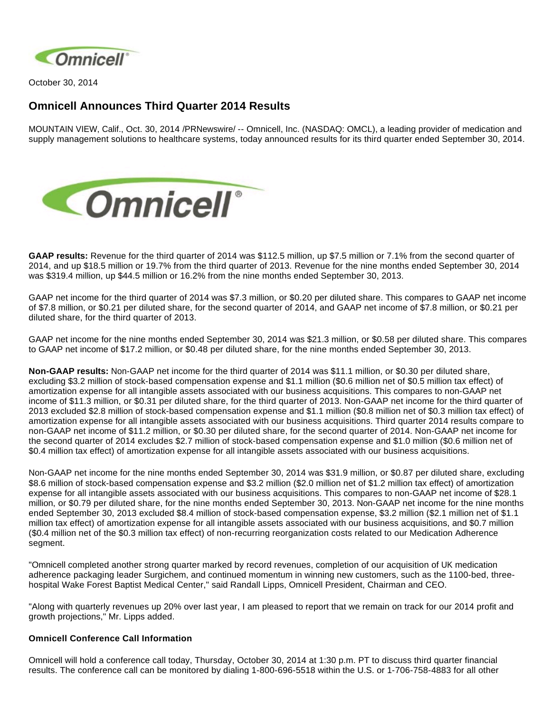

October 30, 2014

# **Omnicell Announces Third Quarter 2014 Results**

MOUNTAIN VIEW, Calif., Oct. 30, 2014 /PRNewswire/ -- Omnicell, Inc. (NASDAQ: OMCL), a leading provider of medication and supply management solutions to healthcare systems, today announced results for its third quarter ended September 30, 2014.



**GAAP results:** Revenue for the third quarter of 2014 was \$112.5 million, up \$7.5 million or 7.1% from the second quarter of 2014, and up \$18.5 million or 19.7% from the third quarter of 2013. Revenue for the nine months ended September 30, 2014 was \$319.4 million, up \$44.5 million or 16.2% from the nine months ended September 30, 2013.

GAAP net income for the third quarter of 2014 was \$7.3 million, or \$0.20 per diluted share. This compares to GAAP net income of \$7.8 million, or \$0.21 per diluted share, for the second quarter of 2014, and GAAP net income of \$7.8 million, or \$0.21 per diluted share, for the third quarter of 2013.

GAAP net income for the nine months ended September 30, 2014 was \$21.3 million, or \$0.58 per diluted share. This compares to GAAP net income of \$17.2 million, or \$0.48 per diluted share, for the nine months ended September 30, 2013.

**Non-GAAP results:** Non-GAAP net income for the third quarter of 2014 was \$11.1 million, or \$0.30 per diluted share, excluding \$3.2 million of stock-based compensation expense and \$1.1 million (\$0.6 million net of \$0.5 million tax effect) of amortization expense for all intangible assets associated with our business acquisitions. This compares to non-GAAP net income of \$11.3 million, or \$0.31 per diluted share, for the third quarter of 2013. Non-GAAP net income for the third quarter of 2013 excluded \$2.8 million of stock-based compensation expense and \$1.1 million (\$0.8 million net of \$0.3 million tax effect) of amortization expense for all intangible assets associated with our business acquisitions. Third quarter 2014 results compare to non-GAAP net income of \$11.2 million, or \$0.30 per diluted share, for the second quarter of 2014. Non-GAAP net income for the second quarter of 2014 excludes \$2.7 million of stock-based compensation expense and \$1.0 million (\$0.6 million net of \$0.4 million tax effect) of amortization expense for all intangible assets associated with our business acquisitions.

Non-GAAP net income for the nine months ended September 30, 2014 was \$31.9 million, or \$0.87 per diluted share, excluding \$8.6 million of stock-based compensation expense and \$3.2 million (\$2.0 million net of \$1.2 million tax effect) of amortization expense for all intangible assets associated with our business acquisitions. This compares to non-GAAP net income of \$28.1 million, or \$0.79 per diluted share, for the nine months ended September 30, 2013. Non-GAAP net income for the nine months ended September 30, 2013 excluded \$8.4 million of stock-based compensation expense, \$3.2 million (\$2.1 million net of \$1.1 million tax effect) of amortization expense for all intangible assets associated with our business acquisitions, and \$0.7 million (\$0.4 million net of the \$0.3 million tax effect) of non-recurring reorganization costs related to our Medication Adherence segment.

"Omnicell completed another strong quarter marked by record revenues, completion of our acquisition of UK medication adherence packaging leader Surgichem, and continued momentum in winning new customers, such as the 1100-bed, threehospital Wake Forest Baptist Medical Center," said Randall Lipps, Omnicell President, Chairman and CEO.

"Along with quarterly revenues up 20% over last year, I am pleased to report that we remain on track for our 2014 profit and growth projections," Mr. Lipps added.

## **Omnicell Conference Call Information**

Omnicell will hold a conference call today, Thursday, October 30, 2014 at 1:30 p.m. PT to discuss third quarter financial results. The conference call can be monitored by dialing 1-800-696-5518 within the U.S. or 1-706-758-4883 for all other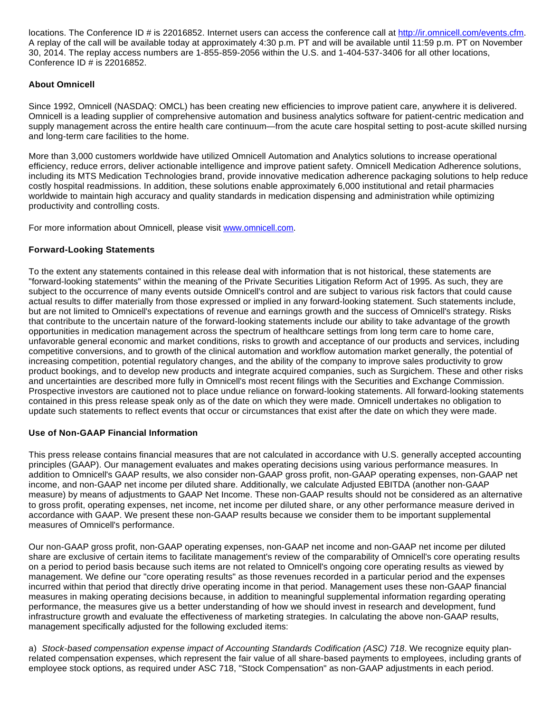locations. The Conference ID # is 22016852. Internet users can access the conference call at <http://ir.omnicell.com/events.cfm>. A replay of the call will be available today at approximately 4:30 p.m. PT and will be available until 11:59 p.m. PT on November 30, 2014. The replay access numbers are 1-855-859-2056 within the U.S. and 1-404-537-3406 for all other locations, Conference ID # is 22016852.

## **About Omnicell**

Since 1992, Omnicell (NASDAQ: OMCL) has been creating new efficiencies to improve patient care, anywhere it is delivered. Omnicell is a leading supplier of comprehensive automation and business analytics software for patient-centric medication and supply management across the entire health care continuum—from the acute care hospital setting to post-acute skilled nursing and long-term care facilities to the home.

More than 3,000 customers worldwide have utilized Omnicell Automation and Analytics solutions to increase operational efficiency, reduce errors, deliver actionable intelligence and improve patient safety. Omnicell Medication Adherence solutions, including its MTS Medication Technologies brand, provide innovative medication adherence packaging solutions to help reduce costly hospital readmissions. In addition, these solutions enable approximately 6,000 institutional and retail pharmacies worldwide to maintain high accuracy and quality standards in medication dispensing and administration while optimizing productivity and controlling costs.

For more information about Omnicell, please visit [www.omnicell.com](http://www.omnicell.com/).

## **Forward-Looking Statements**

To the extent any statements contained in this release deal with information that is not historical, these statements are "forward-looking statements" within the meaning of the Private Securities Litigation Reform Act of 1995. As such, they are subject to the occurrence of many events outside Omnicell's control and are subject to various risk factors that could cause actual results to differ materially from those expressed or implied in any forward-looking statement. Such statements include, but are not limited to Omnicell's expectations of revenue and earnings growth and the success of Omnicell's strategy. Risks that contribute to the uncertain nature of the forward-looking statements include our ability to take advantage of the growth opportunities in medication management across the spectrum of healthcare settings from long term care to home care, unfavorable general economic and market conditions, risks to growth and acceptance of our products and services, including competitive conversions, and to growth of the clinical automation and workflow automation market generally, the potential of increasing competition, potential regulatory changes, and the ability of the company to improve sales productivity to grow product bookings, and to develop new products and integrate acquired companies, such as Surgichem. These and other risks and uncertainties are described more fully in Omnicell's most recent filings with the Securities and Exchange Commission. Prospective investors are cautioned not to place undue reliance on forward-looking statements. All forward-looking statements contained in this press release speak only as of the date on which they were made. Omnicell undertakes no obligation to update such statements to reflect events that occur or circumstances that exist after the date on which they were made.

## **Use of Non-GAAP Financial Information**

This press release contains financial measures that are not calculated in accordance with U.S. generally accepted accounting principles (GAAP). Our management evaluates and makes operating decisions using various performance measures. In addition to Omnicell's GAAP results, we also consider non-GAAP gross profit, non-GAAP operating expenses, non-GAAP net income, and non-GAAP net income per diluted share. Additionally, we calculate Adjusted EBITDA (another non-GAAP measure) by means of adjustments to GAAP Net Income. These non-GAAP results should not be considered as an alternative to gross profit, operating expenses, net income, net income per diluted share, or any other performance measure derived in accordance with GAAP. We present these non-GAAP results because we consider them to be important supplemental measures of Omnicell's performance.

Our non-GAAP gross profit, non-GAAP operating expenses, non-GAAP net income and non-GAAP net income per diluted share are exclusive of certain items to facilitate management's review of the comparability of Omnicell's core operating results on a period to period basis because such items are not related to Omnicell's ongoing core operating results as viewed by management. We define our "core operating results" as those revenues recorded in a particular period and the expenses incurred within that period that directly drive operating income in that period. Management uses these non-GAAP financial measures in making operating decisions because, in addition to meaningful supplemental information regarding operating performance, the measures give us a better understanding of how we should invest in research and development, fund infrastructure growth and evaluate the effectiveness of marketing strategies. In calculating the above non-GAAP results, management specifically adjusted for the following excluded items:

a) Stock-based compensation expense impact of Accounting Standards Codification (ASC) 718. We recognize equity planrelated compensation expenses, which represent the fair value of all share-based payments to employees, including grants of employee stock options, as required under ASC 718, "Stock Compensation" as non-GAAP adjustments in each period.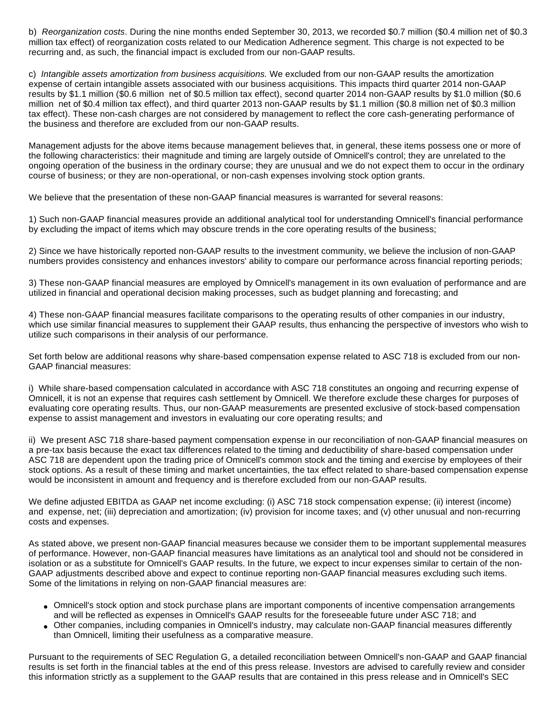b) Reorganization costs. During the nine months ended September 30, 2013, we recorded \$0.7 million (\$0.4 million net of \$0.3 million tax effect) of reorganization costs related to our Medication Adherence segment. This charge is not expected to be recurring and, as such, the financial impact is excluded from our non-GAAP results.

c) Intangible assets amortization from business acquisitions. We excluded from our non-GAAP results the amortization expense of certain intangible assets associated with our business acquisitions. This impacts third quarter 2014 non-GAAP results by \$1.1 million (\$0.6 million net of \$0.5 million tax effect), second quarter 2014 non-GAAP results by \$1.0 million (\$0.6 million net of \$0.4 million tax effect), and third quarter 2013 non-GAAP results by \$1.1 million (\$0.8 million net of \$0.3 million tax effect). These non-cash charges are not considered by management to reflect the core cash-generating performance of the business and therefore are excluded from our non-GAAP results.

Management adjusts for the above items because management believes that, in general, these items possess one or more of the following characteristics: their magnitude and timing are largely outside of Omnicell's control; they are unrelated to the ongoing operation of the business in the ordinary course; they are unusual and we do not expect them to occur in the ordinary course of business; or they are non-operational, or non-cash expenses involving stock option grants.

We believe that the presentation of these non-GAAP financial measures is warranted for several reasons:

1) Such non-GAAP financial measures provide an additional analytical tool for understanding Omnicell's financial performance by excluding the impact of items which may obscure trends in the core operating results of the business;

2) Since we have historically reported non-GAAP results to the investment community, we believe the inclusion of non-GAAP numbers provides consistency and enhances investors' ability to compare our performance across financial reporting periods;

3) These non-GAAP financial measures are employed by Omnicell's management in its own evaluation of performance and are utilized in financial and operational decision making processes, such as budget planning and forecasting; and

4) These non-GAAP financial measures facilitate comparisons to the operating results of other companies in our industry, which use similar financial measures to supplement their GAAP results, thus enhancing the perspective of investors who wish to utilize such comparisons in their analysis of our performance.

Set forth below are additional reasons why share-based compensation expense related to ASC 718 is excluded from our non-GAAP financial measures:

i) While share-based compensation calculated in accordance with ASC 718 constitutes an ongoing and recurring expense of Omnicell, it is not an expense that requires cash settlement by Omnicell. We therefore exclude these charges for purposes of evaluating core operating results. Thus, our non-GAAP measurements are presented exclusive of stock-based compensation expense to assist management and investors in evaluating our core operating results; and

ii) We present ASC 718 share-based payment compensation expense in our reconciliation of non-GAAP financial measures on a pre-tax basis because the exact tax differences related to the timing and deductibility of share-based compensation under ASC 718 are dependent upon the trading price of Omnicell's common stock and the timing and exercise by employees of their stock options. As a result of these timing and market uncertainties, the tax effect related to share-based compensation expense would be inconsistent in amount and frequency and is therefore excluded from our non-GAAP results.

We define adjusted EBITDA as GAAP net income excluding: (i) ASC 718 stock compensation expense; (ii) interest (income) and expense, net; (iii) depreciation and amortization; (iv) provision for income taxes; and (v) other unusual and non-recurring costs and expenses.

As stated above, we present non-GAAP financial measures because we consider them to be important supplemental measures of performance. However, non-GAAP financial measures have limitations as an analytical tool and should not be considered in isolation or as a substitute for Omnicell's GAAP results. In the future, we expect to incur expenses similar to certain of the non-GAAP adjustments described above and expect to continue reporting non-GAAP financial measures excluding such items. Some of the limitations in relying on non-GAAP financial measures are:

- Omnicell's stock option and stock purchase plans are important components of incentive compensation arrangements and will be reflected as expenses in Omnicell's GAAP results for the foreseeable future under ASC 718; and
- Other companies, including companies in Omnicell's industry, may calculate non-GAAP financial measures differently than Omnicell, limiting their usefulness as a comparative measure.

Pursuant to the requirements of SEC Regulation G, a detailed reconciliation between Omnicell's non-GAAP and GAAP financial results is set forth in the financial tables at the end of this press release. Investors are advised to carefully review and consider this information strictly as a supplement to the GAAP results that are contained in this press release and in Omnicell's SEC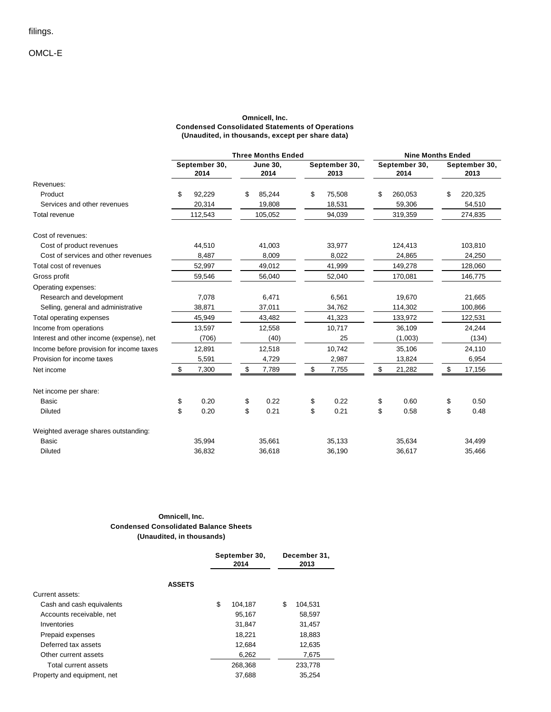### **Omnicell, Inc. Condensed Consolidated Statements of Operations (Unaudited, in thousands, except per share data)**

|                                          |                       | <b>Three Months Ended</b> | <b>Nine Months Ended</b> |                       |                       |  |
|------------------------------------------|-----------------------|---------------------------|--------------------------|-----------------------|-----------------------|--|
|                                          | September 30,<br>2014 | <b>June 30,</b><br>2014   | September 30,<br>2013    | September 30,<br>2014 | September 30,<br>2013 |  |
| Revenues:                                |                       |                           |                          |                       |                       |  |
| Product                                  | \$<br>92,229          | \$<br>85,244              | \$<br>75,508             | \$<br>260,053         | \$<br>220,325         |  |
| Services and other revenues              | 20,314                | 19,808                    | 18,531                   | 59,306                | 54,510                |  |
| Total revenue                            | 112,543               | 105,052                   | 94,039                   | 319,359               | 274,835               |  |
| Cost of revenues:                        |                       |                           |                          |                       |                       |  |
| Cost of product revenues                 | 44,510                | 41,003                    | 33,977                   | 124,413               | 103,810               |  |
| Cost of services and other revenues      | 8,487                 | 8.009                     | 8,022                    | 24,865                | 24,250                |  |
| Total cost of revenues                   | 52,997                | 49,012                    | 41,999                   | 149,278               | 128,060               |  |
| Gross profit                             | 59,546                | 56,040                    | 52,040                   | 170,081               | 146,775               |  |
| Operating expenses:                      |                       |                           |                          |                       |                       |  |
| Research and development                 | 7,078                 | 6,471                     | 6,561                    | 19,670                | 21,665                |  |
| Selling, general and administrative      | 38,871                | 37,011                    | 34,762                   | 114,302               | 100,866               |  |
| Total operating expenses                 | 45,949                | 43,482                    | 41,323                   | 133,972               | 122,531               |  |
| Income from operations                   | 13,597                | 12,558                    | 10,717                   | 36,109                | 24,244                |  |
| Interest and other income (expense), net | (706)                 | (40)                      | 25                       | (1,003)               | (134)                 |  |
| Income before provision for income taxes | 12,891                | 12,518                    | 10,742                   | 35,106                | 24,110                |  |
| Provision for income taxes               | 5,591                 | 4,729                     | 2,987                    | 13,824                | 6,954                 |  |
| Net income                               | \$<br>7,300           | \$<br>7,789               | \$<br>7,755              | \$<br>21,282          | \$<br>17,156          |  |
| Net income per share:                    |                       |                           |                          |                       |                       |  |
| <b>Basic</b>                             | \$<br>0.20            | \$<br>0.22                | 0.22<br>\$               | \$<br>0.60            | \$<br>0.50            |  |
| <b>Diluted</b>                           | \$<br>0.20            | \$<br>0.21                | \$<br>0.21               | \$<br>0.58            | \$<br>0.48            |  |
| Weighted average shares outstanding:     |                       |                           |                          |                       |                       |  |
| <b>Basic</b>                             | 35,994                | 35,661                    | 35,133                   | 35,634                | 34,499                |  |
| <b>Diluted</b>                           | 36,832                | 36,618                    | 36,190                   | 36,617                | 35,466                |  |

## **Omnicell, Inc. Condensed Consolidated Balance Sheets (Unaudited, in thousands)**

|                             | September 30,<br>2014 |         | December 31,<br>2013 |
|-----------------------------|-----------------------|---------|----------------------|
| <b>ASSETS</b>               |                       |         |                      |
| Current assets:             |                       |         |                      |
| Cash and cash equivalents   | \$                    | 104,187 | \$<br>104,531        |
| Accounts receivable, net    |                       | 95,167  | 58,597               |
| Inventories                 |                       | 31,847  | 31,457               |
| Prepaid expenses            |                       | 18,221  | 18,883               |
| Deferred tax assets         |                       | 12,684  | 12,635               |
| Other current assets        |                       | 6,262   | 7,675                |
| Total current assets        |                       | 268,368 | 233,778              |
| Property and equipment, net |                       | 37,688  | 35,254               |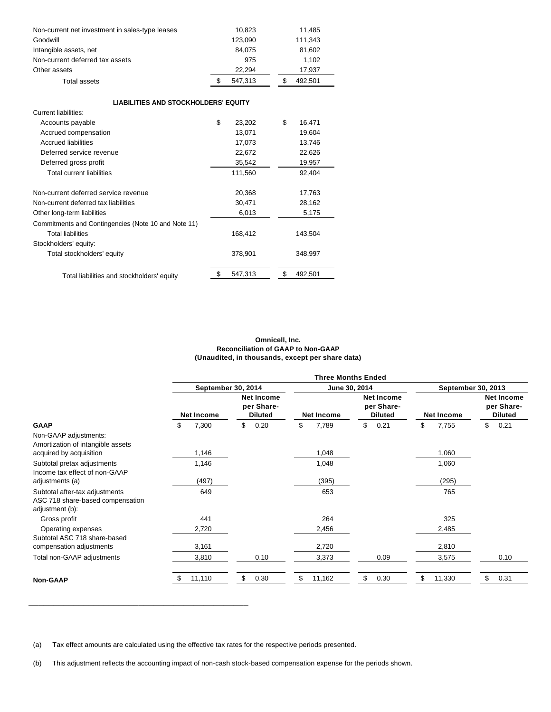| Non-current net investment in sales-type leases | 10.823  | 11.485  |
|-------------------------------------------------|---------|---------|
| Goodwill                                        | 123,090 | 111,343 |
| Intangible assets, net                          | 84.075  | 81,602  |
| Non-current deferred tax assets                 | 975     | 1.102   |
| Other assets                                    | 22.294  | 17.937  |
| Total assets                                    | 547.313 | 492.501 |

### **LIABILITIES AND STOCKHOLDERS' EQUITY**

| <b>Current liabilities:</b>                         |    |         |    |         |
|-----------------------------------------------------|----|---------|----|---------|
| Accounts payable                                    | \$ | 23,202  | \$ | 16.471  |
| Accrued compensation                                |    | 13,071  |    | 19,604  |
| <b>Accrued liabilities</b>                          |    | 17,073  |    | 13,746  |
| Deferred service revenue                            |    | 22,672  |    | 22,626  |
| Deferred gross profit                               |    | 35,542  |    | 19,957  |
| Total current liabilities                           |    | 111,560 |    | 92,404  |
| Non-current deferred service revenue                |    | 20,368  |    | 17,763  |
| Non-current deferred tax liabilities                |    | 30,471  |    | 28,162  |
| Other long-term liabilities                         |    | 6,013   |    | 5,175   |
| Commitments and Contingencies (Note 10 and Note 11) |    |         |    |         |
| <b>Total liabilities</b>                            |    | 143,504 |    |         |
| Stockholders' equity:                               |    |         |    |         |
| Total stockholders' equity                          |    | 378,901 |    | 348,997 |
| Total liabilities and stockholders' equity          | \$ | 547,313 | \$ | 492,501 |

#### **Omnicell, Inc. Reconciliation of GAAP to Non-GAAP (Unaudited, in thousands, except per share data)**

|                                                                                       |    | <b>Three Months Ended</b> |    |                                                   |               |                   |    |                                                   |                    |                   |    |                                                   |
|---------------------------------------------------------------------------------------|----|---------------------------|----|---------------------------------------------------|---------------|-------------------|----|---------------------------------------------------|--------------------|-------------------|----|---------------------------------------------------|
|                                                                                       |    | September 30, 2014        |    |                                                   | June 30, 2014 |                   |    |                                                   | September 30, 2013 |                   |    |                                                   |
|                                                                                       |    | <b>Net Income</b>         |    | <b>Net Income</b><br>per Share-<br><b>Diluted</b> |               | <b>Net Income</b> |    | <b>Net Income</b><br>per Share-<br><b>Diluted</b> |                    | <b>Net Income</b> |    | <b>Net Income</b><br>per Share-<br><b>Diluted</b> |
| <b>GAAP</b>                                                                           | \$ | 7,300                     | \$ | 0.20                                              | \$            | 7,789             | \$ | 0.21                                              | \$                 | 7,755             | \$ | 0.21                                              |
| Non-GAAP adjustments:<br>Amortization of intangible assets                            |    |                           |    |                                                   |               |                   |    |                                                   |                    |                   |    |                                                   |
| acquired by acquisition                                                               |    | 1,146                     |    |                                                   |               | 1,048             |    |                                                   |                    | 1,060             |    |                                                   |
| Subtotal pretax adjustments<br>Income tax effect of non-GAAP                          |    | 1,146                     |    |                                                   |               | 1,048             |    |                                                   |                    | 1,060             |    |                                                   |
| adjustments (a)                                                                       |    | (497)                     |    |                                                   |               | (395)             |    |                                                   |                    | (295)             |    |                                                   |
| Subtotal after-tax adjustments<br>ASC 718 share-based compensation<br>adjustment (b): |    | 649                       |    |                                                   |               | 653               |    |                                                   |                    | 765               |    |                                                   |
| Gross profit                                                                          |    | 441                       |    |                                                   |               | 264               |    |                                                   |                    | 325               |    |                                                   |
| Operating expenses                                                                    |    | 2,720                     |    |                                                   |               | 2,456             |    |                                                   |                    | 2,485             |    |                                                   |
| Subtotal ASC 718 share-based                                                          |    |                           |    |                                                   |               |                   |    |                                                   |                    |                   |    |                                                   |
| compensation adjustments                                                              |    | 3,161                     |    |                                                   |               | 2,720             |    |                                                   |                    | 2,810             |    |                                                   |
| Total non-GAAP adjustments                                                            |    | 3,810                     |    | 0.10                                              |               | 3,373             |    | 0.09                                              |                    | 3,575             |    | 0.10                                              |
| <b>Non-GAAP</b>                                                                       | S  | 11,110                    | \$ | 0.30                                              | \$            | 11,162            | \$ | 0.30                                              | \$                 | 11,330            | \$ | 0.31                                              |

(a) Tax effect amounts are calculated using the effective tax rates for the respective periods presented.

\_\_\_\_\_\_\_\_\_\_\_\_\_\_\_\_\_\_\_\_\_\_\_\_\_\_\_\_\_\_\_\_\_\_\_\_\_\_\_\_\_\_\_\_

(b) This adjustment reflects the accounting impact of non-cash stock-based compensation expense for the periods shown.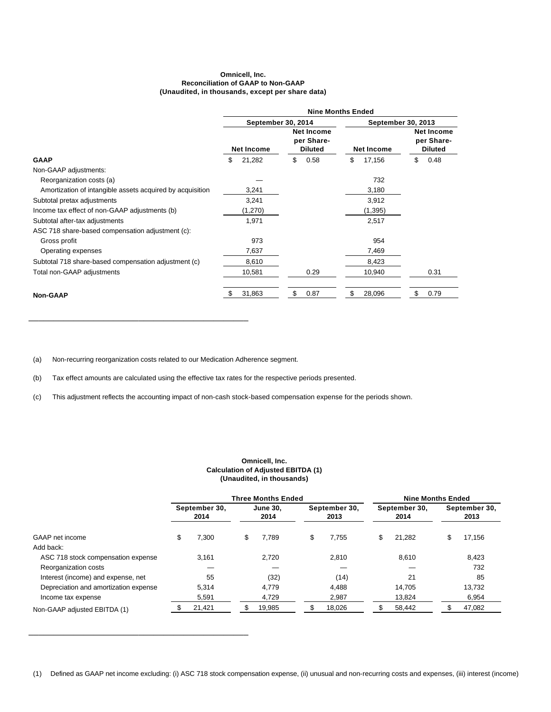### **Omnicell, Inc. Reconciliation of GAAP to Non-GAAP (Unaudited, in thousands, except per share data)**

|                                                           | <b>Nine Months Ended</b> |                                                   |                   |                                                   |  |  |  |  |
|-----------------------------------------------------------|--------------------------|---------------------------------------------------|-------------------|---------------------------------------------------|--|--|--|--|
|                                                           |                          | September 30, 2014                                |                   | September 30, 2013                                |  |  |  |  |
|                                                           | <b>Net Income</b>        | <b>Net Income</b><br>per Share-<br><b>Diluted</b> | <b>Net Income</b> | <b>Net Income</b><br>per Share-<br><b>Diluted</b> |  |  |  |  |
| <b>GAAP</b>                                               | 21,282<br>S              | \$<br>0.58                                        | \$<br>17,156      | \$<br>0.48                                        |  |  |  |  |
| Non-GAAP adjustments:                                     |                          |                                                   |                   |                                                   |  |  |  |  |
| Reorganization costs (a)                                  |                          |                                                   | 732               |                                                   |  |  |  |  |
| Amortization of intangible assets acquired by acquisition | 3,241                    |                                                   | 3,180             |                                                   |  |  |  |  |
| Subtotal pretax adjustments                               | 3,241                    |                                                   | 3,912             |                                                   |  |  |  |  |
| Income tax effect of non-GAAP adjustments (b)             | (1,270)                  |                                                   | (1, 395)          |                                                   |  |  |  |  |
| Subtotal after-tax adjustments                            | 1,971                    |                                                   | 2,517             |                                                   |  |  |  |  |
| ASC 718 share-based compensation adjustment (c):          |                          |                                                   |                   |                                                   |  |  |  |  |
| Gross profit                                              | 973                      |                                                   | 954               |                                                   |  |  |  |  |
| Operating expenses                                        | 7,637                    |                                                   | 7,469             |                                                   |  |  |  |  |
| Subtotal 718 share-based compensation adjustment (c)      | 8,610                    |                                                   | 8,423             |                                                   |  |  |  |  |
| Total non-GAAP adjustments                                | 10,581                   | 0.29                                              | 10,940            | 0.31                                              |  |  |  |  |
| <b>Non-GAAP</b>                                           | 31,863<br>S              | \$<br>0.87                                        | 28,096<br>S       | \$<br>0.79                                        |  |  |  |  |

(a) Non-recurring reorganization costs related to our Medication Adherence segment.

\_\_\_\_\_\_\_\_\_\_\_\_\_\_\_\_\_\_\_\_\_\_\_\_\_\_\_\_\_\_\_\_\_\_\_\_\_\_\_\_\_\_\_\_

\_\_\_\_\_\_\_\_\_\_\_\_\_\_\_\_\_\_\_\_\_\_\_\_\_\_\_\_\_\_\_\_\_\_\_\_\_\_\_\_\_\_\_\_

(b) Tax effect amounts are calculated using the effective tax rates for the respective periods presented.

(c) This adjustment reflects the accounting impact of non-cash stock-based compensation expense for the periods shown.

### **Omnicell, Inc. Calculation of Adjusted EBITDA (1) (Unaudited, in thousands)**

|                                       | <b>Three Months Ended</b> |                       |    |                         |    |                       | <b>Nine Months Ended</b> |                       |    |                       |  |
|---------------------------------------|---------------------------|-----------------------|----|-------------------------|----|-----------------------|--------------------------|-----------------------|----|-----------------------|--|
|                                       |                           | September 30,<br>2014 |    | <b>June 30.</b><br>2014 |    | September 30,<br>2013 |                          | September 30,<br>2014 |    | September 30,<br>2013 |  |
| GAAP net income                       | \$                        | 7,300                 | \$ | 7.789                   | \$ | 7,755                 | \$                       | 21,282                | \$ | 17.156                |  |
| Add back:                             |                           |                       |    |                         |    |                       |                          |                       |    |                       |  |
| ASC 718 stock compensation expense    |                           | 3,161                 |    | 2,720                   |    | 2,810                 |                          | 8.610                 |    | 8,423                 |  |
| Reorganization costs                  |                           | –                     |    |                         |    |                       |                          |                       |    | 732                   |  |
| Interest (income) and expense, net    |                           | 55                    |    | (32)                    |    | (14)                  |                          | 21                    |    | 85                    |  |
| Depreciation and amortization expense |                           | 5.314                 |    | 4.779                   |    | 4,488                 |                          | 14.705                |    | 13.732                |  |
| Income tax expense                    |                           | 5,591                 |    | 4,729                   |    | 2,987                 |                          | 13,824                |    | 6,954                 |  |
| Non-GAAP adjusted EBITDA (1)          |                           | 21.421                |    | 19.985                  |    | 18.026                |                          | 58.442                |    | 47.082                |  |